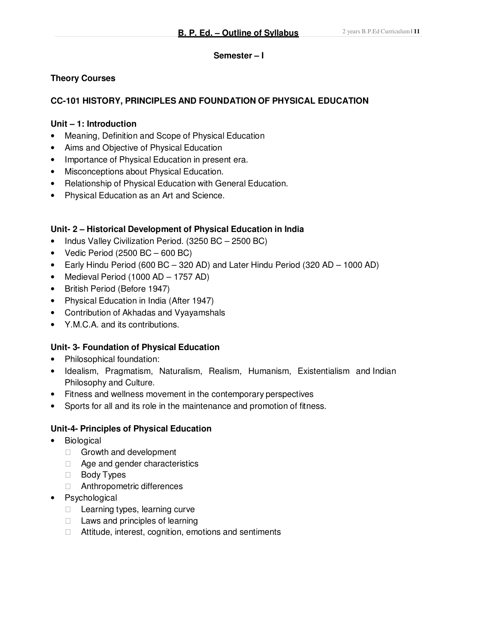#### **Semester – I**

## **Theory Courses**

## **CC-101 HISTORY, PRINCIPLES AND FOUNDATION OF PHYSICAL EDUCATION**

#### **Unit – 1: Introduction**

- Meaning, Definition and Scope of Physical Education
- Aims and Objective of Physical Education
- Importance of Physical Education in present era.
- Misconceptions about Physical Education.
- Relationship of Physical Education with General Education.
- Physical Education as an Art and Science.

## **Unit- 2 – Historical Development of Physical Education in India**

- Indus Valley Civilization Period. (3250 BC 2500 BC)
- Vedic Period  $(2500 \text{ BC} 600 \text{ BC})$
- Early Hindu Period (600 BC 320 AD) and Later Hindu Period (320 AD 1000 AD)
- Medieval Period (1000 AD 1757 AD)
- British Period (Before 1947)
- Physical Education in India (After 1947)
- Contribution of Akhadas and Vyayamshals
- Y.M.C.A. and its contributions.

## **Unit- 3- Foundation of Physical Education**

- Philosophical foundation:
- Idealism, Pragmatism, Naturalism, Realism, Humanism, Existentialism and Indian Philosophy and Culture.
- Fitness and wellness movement in the contemporary perspectives
- Sports for all and its role in the maintenance and promotion of fitness.

## **Unit-4- Principles of Physical Education**

- Biological
	- Growth and development Age and gender characteristics
	-
	- Body Types
	- Anthropometric differences
- Psychological
	- Learning types, learning curve Laws and principles of learning Attitude, interest, cognition, emotions and sentiments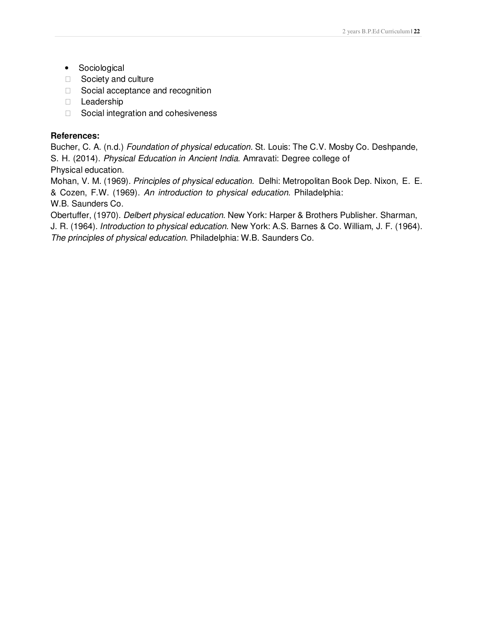Sociological Society and culture Social acceptance and recognition Leadership Social integration and cohesiveness

#### **References:**

Bucher, C. A. (n.d.) Foundation of physical education. St. Louis: The C.V. Mosby Co. Deshpande, S. H. (2014). Physical Education in Ancient India. Amravati: Degree college of Physical education.

Mohan, V. M. (1969). Principles of physical education. Delhi: Metropolitan Book Dep. Nixon, E. E. & Cozen, F.W. (1969). An introduction to physical education. Philadelphia: W.B. Saunders Co.

Obertuffer, (1970). Delbert physical education. New York: Harper & Brothers Publisher. Sharman, J. R. (1964). Introduction to physical education. New York: A.S. Barnes & Co. William, J. F. (1964).

The principles of physical education. Philadelphia: W.B. Saunders Co.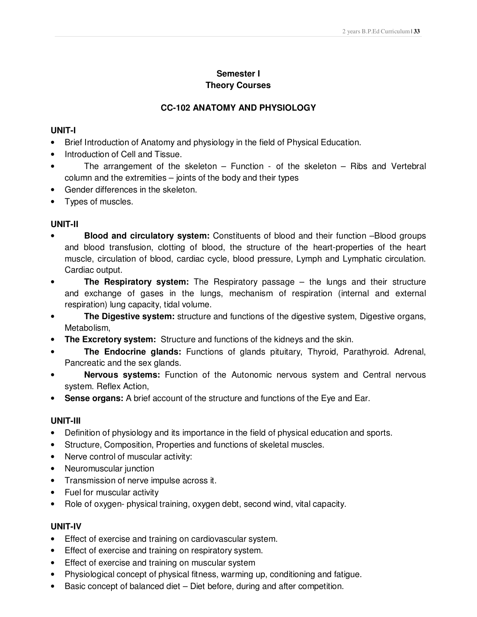## **Semester I Theory Courses**

## **CC-102 ANATOMY AND PHYSIOLOGY**

#### **UNIT-I**

- Brief Introduction of Anatomy and physiology in the field of Physical Education.
- Introduction of Cell and Tissue.
- The arrangement of the skeleton Function of the skeleton Ribs and Vertebral column and the extremities – joints of the body and their types
- Gender differences in the skeleton.
- Types of muscles.

## **UNIT-II**

- **Blood and circulatory system:** Constituents of blood and their function –Blood groups and blood transfusion, clotting of blood, the structure of the heart-properties of the heart muscle, circulation of blood, cardiac cycle, blood pressure, Lymph and Lymphatic circulation. Cardiac output.
- **The Respiratory system:** The Respiratory passage the lungs and their structure and exchange of gases in the lungs, mechanism of respiration (internal and external respiration) lung capacity, tidal volume.
- **The Digestive system:** structure and functions of the digestive system, Digestive organs, Metabolism,
- **The Excretory system:** Structure and functions of the kidneys and the skin.
- **The Endocrine glands:** Functions of glands pituitary, Thyroid, Parathyroid. Adrenal, Pancreatic and the sex glands.
- **Nervous systems:** Function of the Autonomic nervous system and Central nervous system. Reflex Action,
- **Sense organs:** A brief account of the structure and functions of the Eye and Ear.

## **UNIT-III**

- Definition of physiology and its importance in the field of physical education and sports.
- Structure, Composition, Properties and functions of skeletal muscles.
- Nerve control of muscular activity:
- Neuromuscular junction
- Transmission of nerve impulse across it.
- Fuel for muscular activity
- Role of oxygen- physical training, oxygen debt, second wind, vital capacity.

## **UNIT-IV**

- Effect of exercise and training on cardiovascular system.
- Effect of exercise and training on respiratory system.
- Effect of exercise and training on muscular system
- Physiological concept of physical fitness, warming up, conditioning and fatigue.
- Basic concept of balanced diet Diet before, during and after competition.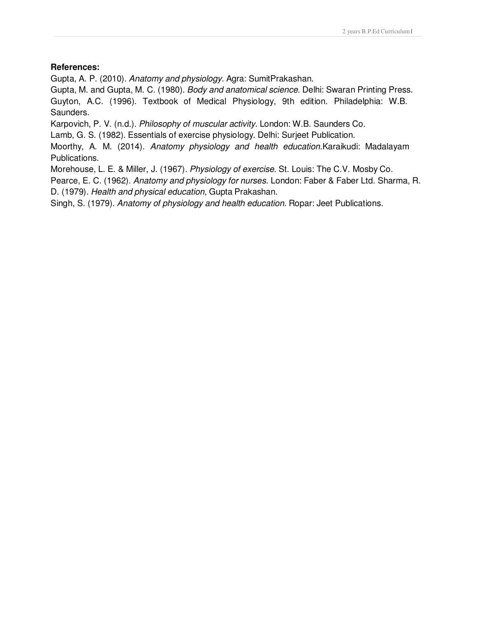#### **References:**

Gupta, A. P. (2010). Anatomy and physiology. Agra: SumitPrakashan.

Gupta, M. and Gupta, M. C. (1980). Body and anatomical science. Delhi: Swaran Printing Press. Guyton, A.C. (1996). Textbook of Medical Physiology, 9th edition. Philadelphia: W.B. Saunders.

Karpovich, P. V. (n.d.). Philosophy of muscular activity. London: W.B. Saunders Co.

Lamb, G. S. (1982). Essentials of exercise physiology. Delhi: Surjeet Publication.

Moorthy, A. M. (2014). Anatomy physiology and health education.Karaikudi: Madalayam Publications.

Morehouse, L. E. & Miller, J. (1967). Physiology of exercise. St. Louis: The C.V. Mosby Co.

Pearce, E. C. (1962). Anatomy and physiology for nurses. London: Faber & Faber Ltd. Sharma, R. D. (1979). Health and physical education, Gupta Prakashan.

Singh, S. (1979). Anatomy of physiology and health education. Ropar: Jeet Publications.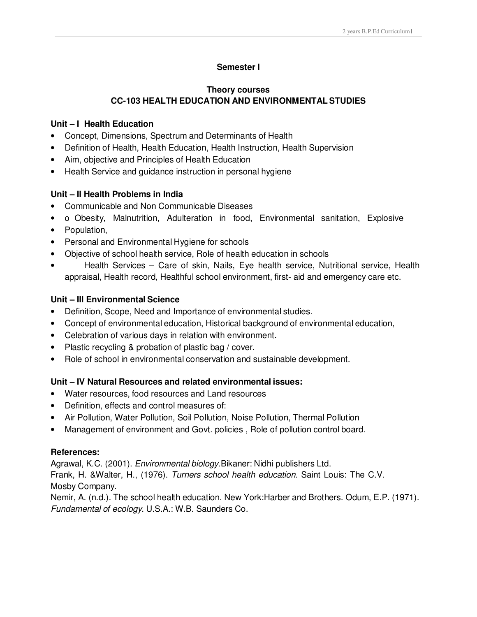### **Semester I**

#### **Theory courses CC-103 HEALTH EDUCATION AND ENVIRONMENTAL STUDIES**

#### **Unit – I Health Education**

- Concept, Dimensions, Spectrum and Determinants of Health
- Definition of Health, Health Education, Health Instruction, Health Supervision
- Aim, objective and Principles of Health Education
- Health Service and guidance instruction in personal hygiene

#### **Unit – II Health Problems in India**

- Communicable and Non Communicable Diseases
- o Obesity, Malnutrition, Adulteration in food, Environmental sanitation, Explosive
- Population,
- Personal and Environmental Hygiene for schools
- Objective of school health service, Role of health education in schools
- Health Services Care of skin, Nails, Eye health service, Nutritional service, Health appraisal, Health record, Healthful school environment, first- aid and emergency care etc.

#### **Unit – III Environmental Science**

- Definition, Scope, Need and Importance of environmental studies.
- Concept of environmental education, Historical background of environmental education,
- Celebration of various days in relation with environment.
- Plastic recycling & probation of plastic bag / cover.
- Role of school in environmental conservation and sustainable development.

## **Unit – IV Natural Resources and related environmental issues:**

- Water resources, food resources and Land resources
- Definition, effects and control measures of:
- Air Pollution, Water Pollution, Soil Pollution, Noise Pollution, Thermal Pollution
- Management of environment and Govt. policies , Role of pollution control board.

#### **References:**

Agrawal, K.C. (2001). *Environmental biology*. Bikaner: Nidhi publishers Ltd.

Frank, H. &Walter, H., (1976). Turners school health education. Saint Louis: The C.V. Mosby Company.

Nemir, A. (n.d.). The school health education. New York:Harber and Brothers. Odum, E.P. (1971). Fundamental of ecology. U.S.A.: W.B. Saunders Co.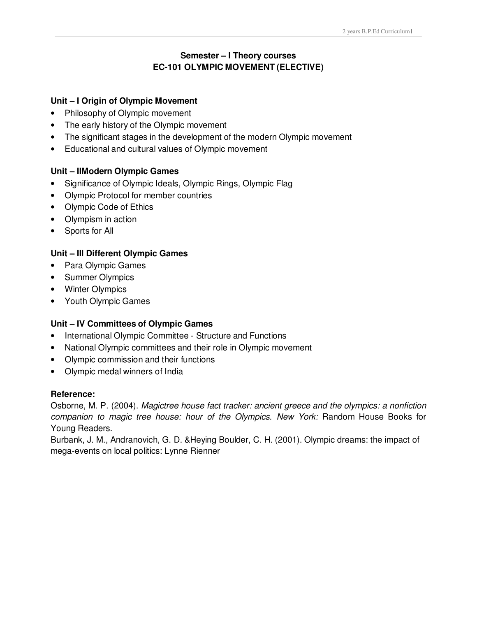# **Semester – I Theory courses EC-101 OLYMPIC MOVEMENT (ELECTIVE)**

#### **Unit – I Origin of Olympic Movement**

- Philosophy of Olympic movement
- The early history of the Olympic movement
- The significant stages in the development of the modern Olympic movement
- Educational and cultural values of Olympic movement

#### **Unit – IIModern Olympic Games**

- Significance of Olympic Ideals, Olympic Rings, Olympic Flag
- Olympic Protocol for member countries
- Olympic Code of Ethics
- Olympism in action
- Sports for All

#### **Unit – III Different Olympic Games**

- Para Olympic Games
- Summer Olympics
- Winter Olympics
- Youth Olympic Games

#### **Unit – IV Committees of Olympic Games**

- International Olympic Committee Structure and Functions
- National Olympic committees and their role in Olympic movement
- Olympic commission and their functions
- Olympic medal winners of India

#### **Reference:**

Osborne, M. P. (2004). Magictree house fact tracker: ancient greece and the olympics: a nonfiction companion to magic tree house: hour of the Olympics. New York: Random House Books for Young Readers.

Burbank, J. M., Andranovich, G. D. &Heying Boulder, C. H. (2001). Olympic dreams: the impact of mega-events on local politics: Lynne Rienner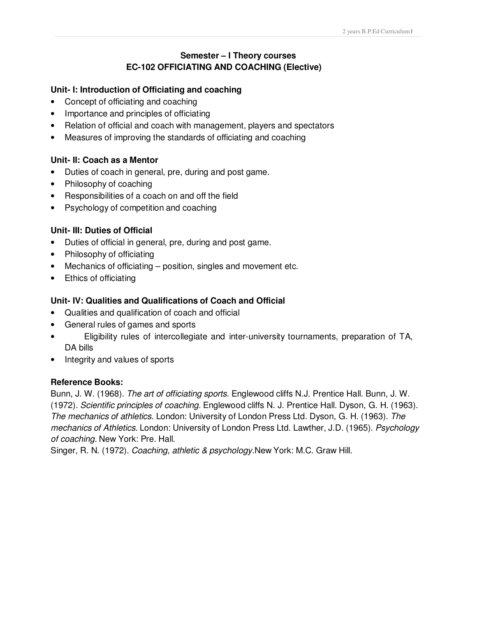## **Semester – I Theory courses EC-102 OFFICIATING AND COACHING (Elective)**

#### **Unit- I: Introduction of Officiating and coaching**

- Concept of officiating and coaching
- Importance and principles of officiating
- Relation of official and coach with management, players and spectators
- Measures of improving the standards of officiating and coaching

#### **Unit- II: Coach as a Mentor**

- Duties of coach in general, pre, during and post game.
- Philosophy of coaching
- Responsibilities of a coach on and off the field
- Psychology of competition and coaching

#### **Unit- III: Duties of Official**

- Duties of official in general, pre, during and post game.
- Philosophy of officiating
- Mechanics of officiating position, singles and movement etc.
- Ethics of officiating

#### **Unit- IV: Qualities and Qualifications of Coach and Official**

- Qualities and qualification of coach and official
- General rules of games and sports
- Eligibility rules of intercollegiate and inter-university tournaments, preparation of TA, DA bills
- Integrity and values of sports

#### **Reference Books:**

Bunn, J. W. (1968). The art of officiating sports. Englewood cliffs N.J. Prentice Hall. Bunn, J. W. (1972). Scientific principles of coaching. Englewood cliffs N. J. Prentice Hall. Dyson, G. H. (1963). The mechanics of athletics. London: University of London Press Ltd. Dyson, G. H. (1963). The mechanics of Athletics. London: University of London Press Ltd. Lawther, J.D. (1965). Psychology of coaching. New York: Pre. Hall.

Singer, R. N. (1972). Coaching, athletic & psychology.New York: M.C. Graw Hill.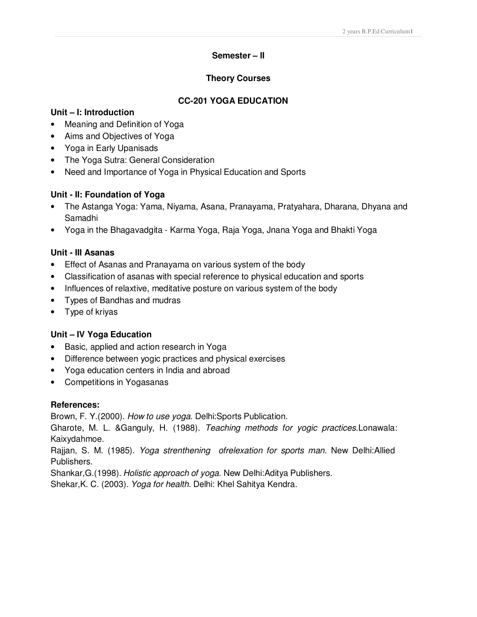#### **Semester – II**

#### **Theory Courses**

#### **CC-201 YOGA EDUCATION**

#### **Unit – I: Introduction**

- Meaning and Definition of Yoga
- Aims and Objectives of Yoga
- Yoga in Early Upanisads
- The Yoga Sutra: General Consideration
- Need and Importance of Yoga in Physical Education and Sports

#### **Unit - II: Foundation of Yoga**

- The Astanga Yoga: Yama, Niyama, Asana, Pranayama, Pratyahara, Dharana, Dhyana and Samadhi
- Yoga in the Bhagavadgita Karma Yoga, Raja Yoga, Jnana Yoga and Bhakti Yoga

#### **Unit - III Asanas**

- Effect of Asanas and Pranayama on various system of the body
- Classification of asanas with special reference to physical education and sports
- Influences of relaxtive, meditative posture on various system of the body
- Types of Bandhas and mudras
- Type of kriyas

#### **Unit – IV Yoga Education**

- Basic, applied and action research in Yoga
- Difference between yogic practices and physical exercises
- Yoga education centers in India and abroad
- Competitions in Yogasanas

#### **References:**

Brown, F. Y.(2000). How to use yoga. Delhi:Sports Publication.

Gharote, M. L. & Ganguly, H. (1988). Teaching methods for yogic practices. Lonawala: Kaixydahmoe.

Rajjan, S. M. (1985). *Yoga strenthening ofrelexation for sports man*. New Delhi:Allied Publishers.

Shankar,G.(1998). Holistic approach of yoga. New Delhi:Aditya Publishers. Shekar,K. C. (2003). Yoga for health. Delhi: Khel Sahitya Kendra.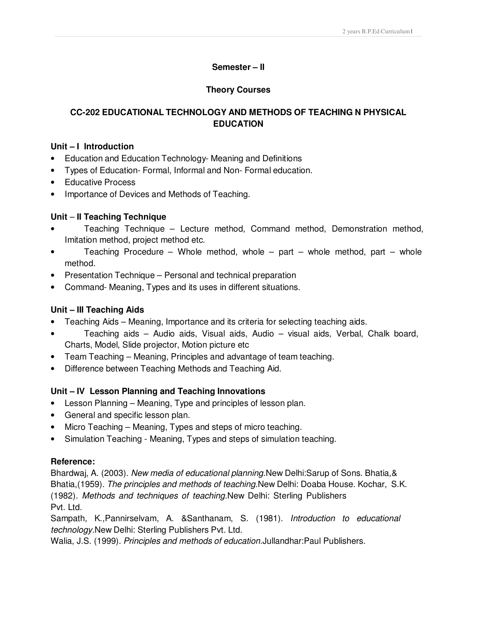## **Semester – II**

## **Theory Courses**

## **CC-202 EDUCATIONAL TECHNOLOGY AND METHODS OF TEACHING N PHYSICAL EDUCATION**

#### **Unit – I Introduction**

- Education and Education Technology- Meaning and Definitions
- Types of Education- Formal, Informal and Non- Formal education.
- Educative Process
- Importance of Devices and Methods of Teaching.

#### **Unit** – **II Teaching Technique**

- Teaching Technique Lecture method, Command method, Demonstration method, Imitation method, project method etc.
- Teaching Procedure Whole method, whole part whole method, part whole method.
- Presentation Technique Personal and technical preparation
- Command- Meaning, Types and its uses in different situations.

## **Unit – III Teaching Aids**

- Teaching Aids Meaning, Importance and its criteria for selecting teaching aids.
- Teaching aids Audio aids, Visual aids, Audio visual aids, Verbal, Chalk board, Charts, Model, Slide projector, Motion picture etc
- Team Teaching Meaning, Principles and advantage of team teaching.
- Difference between Teaching Methods and Teaching Aid.

## **Unit – IV Lesson Planning and Teaching Innovations**

- Lesson Planning Meaning, Type and principles of lesson plan.
- General and specific lesson plan.
- Micro Teaching Meaning, Types and steps of micro teaching.
- Simulation Teaching Meaning, Types and steps of simulation teaching.

#### **Reference:**

Bhardwaj, A. (2003). New media of educational planning.New Delhi:Sarup of Sons. Bhatia, & Bhatia,(1959). The principles and methods of teaching. New Delhi: Doaba House. Kochar, S.K. (1982). Methods and techniques of teaching.New Delhi: Sterling Publishers Pvt. Ltd.

Sampath, K.,Pannirselvam, A. &Santhanam, S. (1981). Introduction to educational technology.New Delhi: Sterling Publishers Pvt. Ltd.

Walia, J.S. (1999). Principles and methods of education.Jullandhar:Paul Publishers.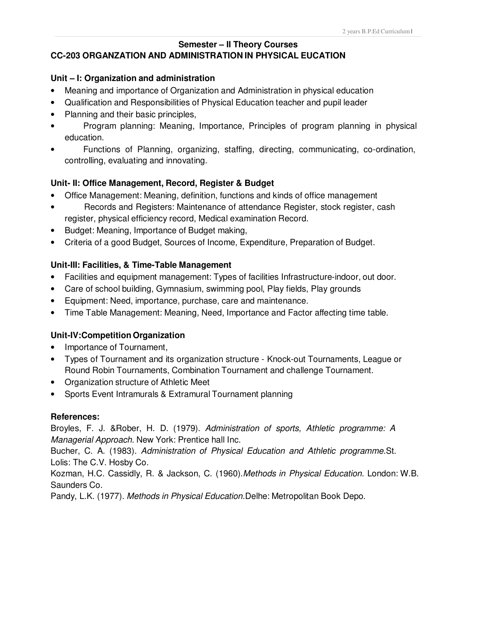#### **Semester – II Theory Courses CC-203 ORGANZATION AND ADMINISTRATION IN PHYSICAL EUCATION**

#### **Unit – I: Organization and administration**

- Meaning and importance of Organization and Administration in physical education
- Qualification and Responsibilities of Physical Education teacher and pupil leader
- Planning and their basic principles,
- Program planning: Meaning, Importance, Principles of program planning in physical education.
- Functions of Planning, organizing, staffing, directing, communicating, co-ordination, controlling, evaluating and innovating.

#### **Unit- II: Office Management, Record, Register & Budget**

- Office Management: Meaning, definition, functions and kinds of office management
- Records and Registers: Maintenance of attendance Register, stock register, cash register, physical efficiency record, Medical examination Record.
- Budget: Meaning, Importance of Budget making,
- Criteria of a good Budget, Sources of Income, Expenditure, Preparation of Budget.

#### **Unit-III: Facilities, & Time-Table Management**

- Facilities and equipment management: Types of facilities Infrastructure-indoor, out door.
- Care of school building, Gymnasium, swimming pool, Play fields, Play grounds
- Equipment: Need, importance, purchase, care and maintenance.
- Time Table Management: Meaning, Need, Importance and Factor affecting time table.

#### **Unit-IV:Competition Organization**

- Importance of Tournament,
- Types of Tournament and its organization structure Knock-out Tournaments, League or Round Robin Tournaments, Combination Tournament and challenge Tournament.
- Organization structure of Athletic Meet
- Sports Event Intramurals & Extramural Tournament planning

#### **References:**

Broyles, F. J. &Rober, H. D. (1979). Administration of sports, Athletic programme: A Managerial Approach. New York: Prentice hall Inc.

Bucher, C. A. (1983). Administration of Physical Education and Athletic programme.St. Lolis: The C.V. Hosby Co.

Kozman, H.C. Cassidly, R. & Jackson, C. (1960).Methods in Physical Education. London: W.B. Saunders Co.

Pandy, L.K. (1977). Methods in Physical Education.Delhe: Metropolitan Book Depo.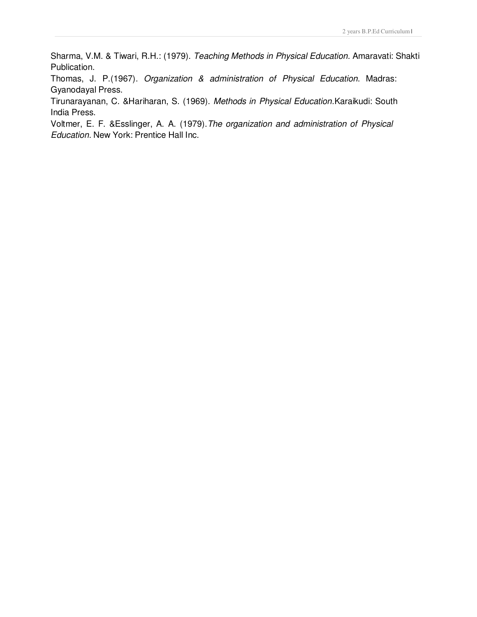Sharma, V.M. & Tiwari, R.H.: (1979). Teaching Methods in Physical Education. Amaravati: Shakti Publication.

Thomas, J. P.(1967). Organization & administration of Physical Education. Madras: Gyanodayal Press.

Tirunarayanan, C. &Hariharan, S. (1969). Methods in Physical Education.Karaikudi: South India Press.

Voltmer, E. F. &Esslinger, A. A. (1979).The organization and administration of Physical Education. New York: Prentice Hall Inc.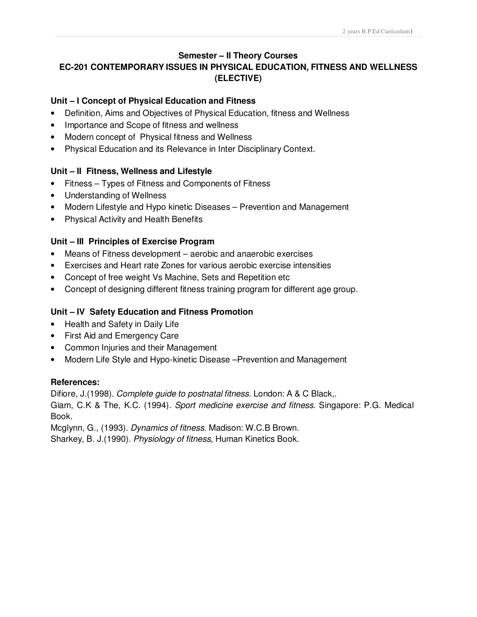# **Semester – II Theory Courses**

# **EC-201 CONTEMPORARY ISSUES IN PHYSICAL EDUCATION, FITNESS AND WELLNESS (ELECTIVE)**

## **Unit – I Concept of Physical Education and Fitness**

- Definition, Aims and Objectives of Physical Education, fitness and Wellness
- Importance and Scope of fitness and wellness
- Modern concept of Physical fitness and Wellness
- Physical Education and its Relevance in Inter Disciplinary Context.

# **Unit – II Fitness, Wellness and Lifestyle**

- Fitness Types of Fitness and Components of Fitness
- Understanding of Wellness
- Modern Lifestyle and Hypo kinetic Diseases Prevention and Management
- Physical Activity and Health Benefits

# **Unit – III Principles of Exercise Program**

- Means of Fitness development aerobic and anaerobic exercises
- Exercises and Heart rate Zones for various aerobic exercise intensities
- Concept of free weight Vs Machine, Sets and Repetition etc
- Concept of designing different fitness training program for different age group.

# **Unit – IV Safety Education and Fitness Promotion**

- Health and Safety in Daily Life
- First Aid and Emergency Care
- Common Injuries and their Management
- Modern Life Style and Hypo-kinetic Disease –Prevention and Management

## **References:**

Difiore, J.(1998). Complete guide to postnatal fitness. London: A & C Black,.

Giam, C.K & The, K.C. (1994). Sport medicine exercise and fitness. Singapore: P.G. Medical Book.

Mcglynn, G., (1993). Dynamics of fitness. Madison: W.C.B Brown.

Sharkey, B. J.(1990). Physiology of fitness, Human Kinetics Book.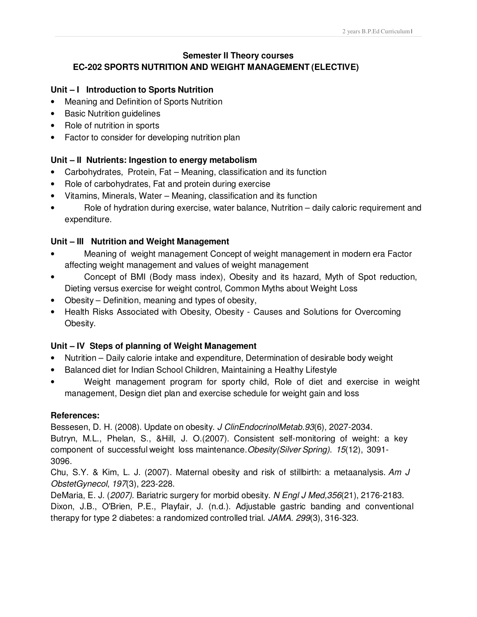## **Semester II Theory courses EC-202 SPORTS NUTRITION AND WEIGHT MANAGEMENT (ELECTIVE)**

## **Unit – I Introduction to Sports Nutrition**

- Meaning and Definition of Sports Nutrition
- Basic Nutrition guidelines
- Role of nutrition in sports
- Factor to consider for developing nutrition plan

## **Unit – II Nutrients: Ingestion to energy metabolism**

- Carbohydrates, Protein, Fat Meaning, classification and its function
- Role of carbohydrates, Fat and protein during exercise
- Vitamins, Minerals, Water Meaning, classification and its function
- Role of hydration during exercise, water balance, Nutrition daily caloric requirement and expenditure.

#### **Unit – III Nutrition and Weight Management**

- Meaning of weight management Concept of weight management in modern era Factor affecting weight management and values of weight management
- Concept of BMI (Body mass index), Obesity and its hazard, Myth of Spot reduction, Dieting versus exercise for weight control, Common Myths about Weight Loss
- Obesity Definition, meaning and types of obesity,
- Health Risks Associated with Obesity, Obesity Causes and Solutions for Overcoming Obesity.

#### **Unit – IV Steps of planning of Weight Management**

- Nutrition Daily calorie intake and expenditure, Determination of desirable body weight
- Balanced diet for Indian School Children, Maintaining a Healthy Lifestyle
- Weight management program for sporty child, Role of diet and exercise in weight management, Design diet plan and exercise schedule for weight gain and loss

#### **References:**

Bessesen, D. H. (2008). Update on obesity. J ClinEndocrinolMetab.93(6), 2027-2034. Butryn, M.L., Phelan, S., &Hill, J. O.(2007). Consistent self-monitoring of weight: a key component of successful weight loss maintenance.Obesity(Silver Spring). 15(12), 3091- 3096.

Chu, S.Y. & Kim, L. J. (2007). Maternal obesity and risk of stillbirth: a metaanalysis. Am J ObstetGynecol, 197(3), 223-228.

DeMaria, E. J. (2007). Bariatric surgery for morbid obesity. N Engl J Med, 356(21), 2176-2183. Dixon, J.B., O'Brien, P.E., Playfair, J. (n.d.). Adjustable gastric banding and conventional therapy for type 2 diabetes: a randomized controlled trial. JAMA. 299(3), 316-323.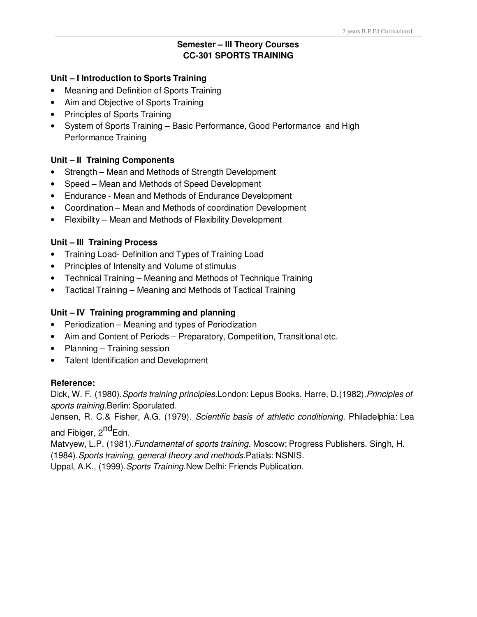# **Semester – III Theory Courses CC-301 SPORTS TRAINING**

#### **Unit – I Introduction to Sports Training**

- Meaning and Definition of Sports Training
- Aim and Objective of Sports Training
- Principles of Sports Training
- System of Sports Training Basic Performance, Good Performance and High Performance Training

#### **Unit – II Training Components**

- Strength Mean and Methods of Strength Development
- Speed Mean and Methods of Speed Development
- Endurance Mean and Methods of Endurance Development
- Coordination Mean and Methods of coordination Development
- Flexibility Mean and Methods of Flexibility Development

#### **Unit – III Training Process**

- Training Load- Definition and Types of Training Load
- Principles of Intensity and Volume of stimulus
- Technical Training Meaning and Methods of Technique Training
- Tactical Training Meaning and Methods of Tactical Training

## **Unit – IV Training programming and planning**

- Periodization Meaning and types of Periodization
- Aim and Content of Periods Preparatory, Competition, Transitional etc.
- Planning Training session
- Talent Identification and Development

#### **Reference:**

Dick, W. F. (1980). Sports training principles. London: Lepus Books. Harre, D. (1982). Principles of sports training. Berlin: Sporulated.

Jensen, R. C.& Fisher, A.G. (1979). Scientific basis of athletic conditioning. Philadelphia: Lea and Fibiger, 2<sup>nd</sup>Edn.

Matyyew, L.P. (1981). Fundamental of sports training. Moscow: Progress Publishers. Singh, H.

(1984).Sports training, general theory and methods.Patials: NSNIS.

Uppal, A.K., (1999). Sports Training. New Delhi: Friends Publication.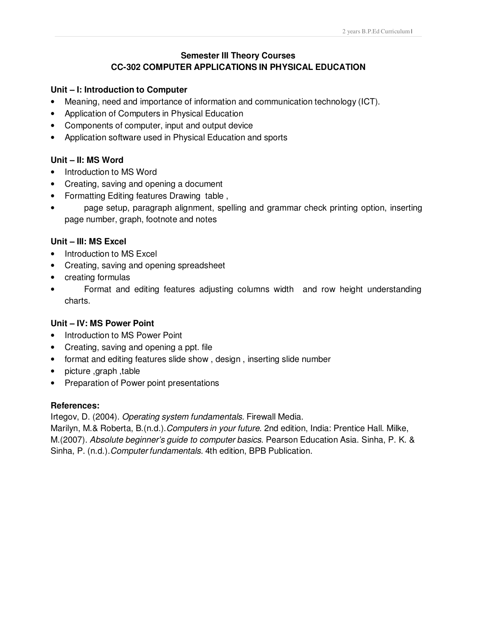## **Semester III Theory Courses CC-302 COMPUTER APPLICATIONS IN PHYSICAL EDUCATION**

#### **Unit – I: Introduction to Computer**

- Meaning, need and importance of information and communication technology (ICT).
- Application of Computers in Physical Education
- Components of computer, input and output device
- Application software used in Physical Education and sports

#### **Unit – II: MS Word**

- Introduction to MS Word
- Creating, saving and opening a document
- Formatting Editing features Drawing table ,
- page setup, paragraph alignment, spelling and grammar check printing option, inserting page number, graph, footnote and notes

#### **Unit – III: MS Excel**

- Introduction to MS Excel
- Creating, saving and opening spreadsheet
- creating formulas
- Format and editing features adjusting columns width and row height understanding charts.

#### **Unit – IV: MS Power Point**

- Introduction to MS Power Point
- Creating, saving and opening a ppt. file
- format and editing features slide show , design , inserting slide number
- picture ,graph ,table
- Preparation of Power point presentations

#### **References:**

Irtegov, D. (2004). Operating system fundamentals. Firewall Media.

Marilyn, M.& Roberta, B.(n.d.). Computers in your future. 2nd edition, India: Prentice Hall. Milke, M.(2007). Absolute beginner's guide to computer basics. Pearson Education Asia. Sinha, P. K. & Sinha, P. (n.d.). Computer fundamentals. 4th edition, BPB Publication.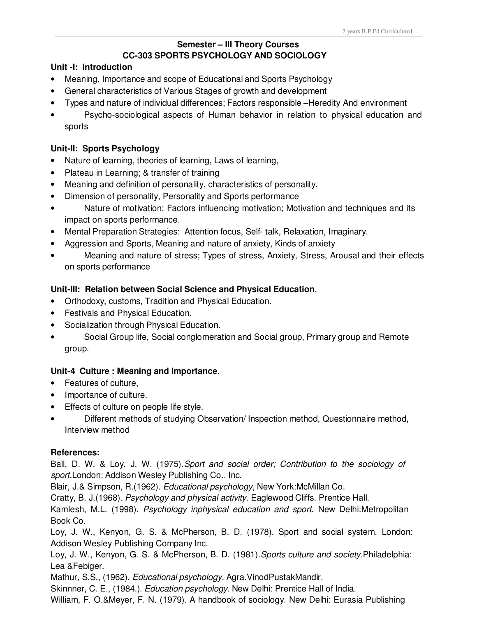#### **Semester – III Theory Courses CC-303 SPORTS PSYCHOLOGY AND SOCIOLOGY**

#### **Unit -I: introduction**

- Meaning, Importance and scope of Educational and Sports Psychology
- General characteristics of Various Stages of growth and development
- Types and nature of individual differences; Factors responsible –Heredity And environment
- Psycho-sociological aspects of Human behavior in relation to physical education and sports

#### **Unit-II: Sports Psychology**

- Nature of learning, theories of learning, Laws of learning,
- Plateau in Learning; & transfer of training
- Meaning and definition of personality, characteristics of personality,
- Dimension of personality, Personality and Sports performance
- Nature of motivation: Factors influencing motivation; Motivation and techniques and its impact on sports performance.
- Mental Preparation Strategies: Attention focus, Self- talk, Relaxation, Imaginary.
- Aggression and Sports, Meaning and nature of anxiety, Kinds of anxiety
- Meaning and nature of stress; Types of stress, Anxiety, Stress, Arousal and their effects on sports performance

#### **Unit-III: Relation between Social Science and Physical Education**.

- Orthodoxy, customs, Tradition and Physical Education.
- Festivals and Physical Education.
- Socialization through Physical Education.
- Social Group life, Social conglomeration and Social group, Primary group and Remote group.

#### **Unit-4 Culture : Meaning and Importance**.

- Features of culture,
- Importance of culture.
- Effects of culture on people life style.
- Different methods of studying Observation/ Inspection method, Questionnaire method, Interview method

#### **References:**

Ball, D. W. & Loy, J. W. (1975).Sport and social order; Contribution to the sociology of sport.London: Addison Wesley Publishing Co., Inc.

Blair, J.& Simpson, R.(1962). *Educational psychology*, New York:McMillan Co.

Cratty, B. J.(1968). Psychology and physical activity. Eaglewood Cliffs. Prentice Hall.

Kamlesh, M.L. (1998). Psychology inphysical education and sport. New Delhi:Metropolitan Book Co.

Loy, J. W., Kenyon, G. S. & McPherson, B. D. (1978). Sport and social system. London: Addison Wesley Publishing Company Inc.

Loy, J. W., Kenyon, G. S. & McPherson, B. D. (1981). Sports culture and society. Philadelphia: Lea &Febiger.

Mathur, S.S., (1962). Educational psychology. Agra. VinodPustakMandir.

Skinnner, C. E., (1984.). *Education psychology*. New Delhi: Prentice Hall of India.

William, F. O.&Meyer, F. N. (1979). A handbook of sociology. New Delhi: Eurasia Publishing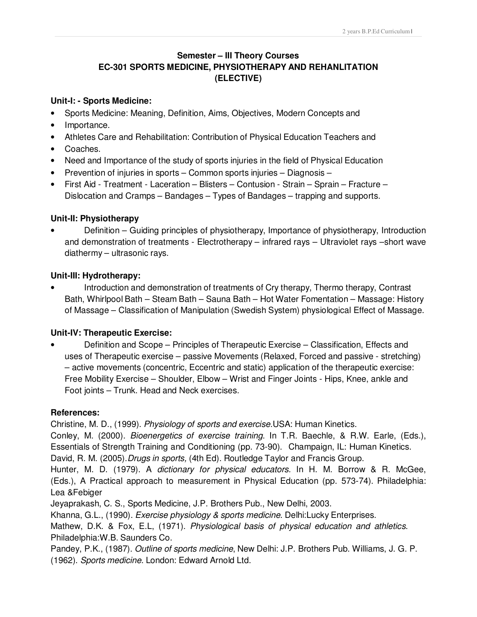# **Semester – III Theory Courses EC-301 SPORTS MEDICINE, PHYSIOTHERAPY AND REHANLITATION (ELECTIVE)**

#### **Unit-I: - Sports Medicine:**

- Sports Medicine: Meaning, Definition, Aims, Objectives, Modern Concepts and
- Importance.
- Athletes Care and Rehabilitation: Contribution of Physical Education Teachers and
- Coaches.
- Need and Importance of the study of sports injuries in the field of Physical Education
- Prevention of injuries in sports Common sports injuries Diagnosis –
- First Aid Treatment Laceration Blisters Contusion Strain Sprain Fracture Dislocation and Cramps – Bandages – Types of Bandages – trapping and supports.

## **Unit-II: Physiotherapy**

Definition – Guiding principles of physiotherapy, Importance of physiotherapy, Introduction and demonstration of treatments - Electrotherapy – infrared rays – Ultraviolet rays –short wave diathermy – ultrasonic rays.

# **Unit-III: Hydrotherapy:**

• Introduction and demonstration of treatments of Cry therapy, Thermo therapy, Contrast Bath, Whirlpool Bath – Steam Bath – Sauna Bath – Hot Water Fomentation – Massage: History of Massage – Classification of Manipulation (Swedish System) physiological Effect of Massage.

# **Unit-IV: Therapeutic Exercise:**

• Definition and Scope – Principles of Therapeutic Exercise – Classification, Effects and uses of Therapeutic exercise – passive Movements (Relaxed, Forced and passive - stretching) – active movements (concentric, Eccentric and static) application of the therapeutic exercise: Free Mobility Exercise – Shoulder, Elbow – Wrist and Finger Joints - Hips, Knee, ankle and Foot joints – Trunk. Head and Neck exercises.

## **References:**

Christine, M. D., (1999). Physiology of sports and exercise.USA: Human Kinetics.

Conley, M. (2000). *Bioenergetics of exercise training*. In T.R. Baechle, & R.W. Earle, (Eds.), Essentials of Strength Training and Conditioning (pp. 73-90). Champaign, IL: Human Kinetics. David, R. M. (2005). Drugs in sports, (4th Ed). Routledge Taylor and Francis Group.

Hunter, M. D. (1979). A dictionary for physical educators. In H. M. Borrow & R. McGee, (Eds.), A Practical approach to measurement in Physical Education (pp. 573-74). Philadelphia: Lea &Febiger

Jeyaprakash, C. S., Sports Medicine, J.P. Brothers Pub., New Delhi, 2003.

Khanna, G.L., (1990). Exercise physiology & sports medicine. Delhi:Lucky Enterprises.

Mathew, D.K. & Fox, E.L, (1971). Physiological basis of physical education and athletics. Philadelphia:W.B. Saunders Co.

Pandey, P.K., (1987). Outline of sports medicine, New Delhi: J.P. Brothers Pub. Williams, J. G. P. (1962). Sports medicine. London: Edward Arnold Ltd.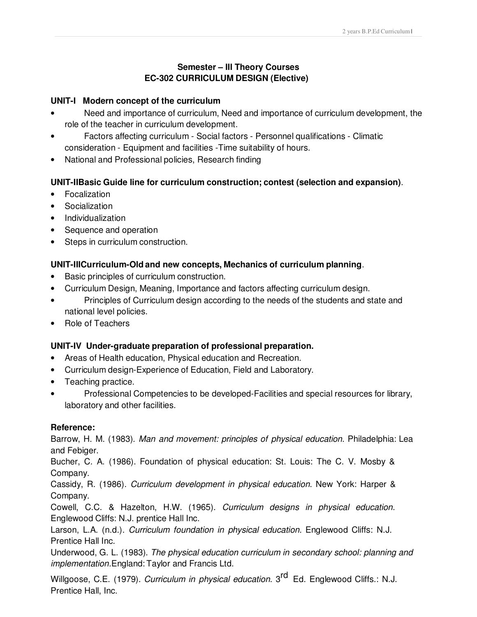## **Semester – III Theory Courses EC-302 CURRICULUM DESIGN (Elective)**

#### **UNIT-I Modern concept of the curriculum**

- Need and importance of curriculum, Need and importance of curriculum development, the role of the teacher in curriculum development.
- Factors affecting curriculum Social factors Personnel qualifications Climatic consideration - Equipment and facilities -Time suitability of hours.
- National and Professional policies, Research finding

# **UNIT-IIBasic Guide line for curriculum construction; contest (selection and expansion)**.

- Focalization
- **Socialization**
- Individualization
- Sequence and operation
- Steps in curriculum construction.

## **UNIT-IIICurriculum-Old and new concepts, Mechanics of curriculum planning**.

- Basic principles of curriculum construction.
- Curriculum Design, Meaning, Importance and factors affecting curriculum design.
- Principles of Curriculum design according to the needs of the students and state and national level policies.
- Role of Teachers

## **UNIT-IV Under-graduate preparation of professional preparation.**

- Areas of Health education, Physical education and Recreation.
- Curriculum design-Experience of Education, Field and Laboratory.
- Teaching practice.
- Professional Competencies to be developed-Facilities and special resources for library, laboratory and other facilities.

## **Reference:**

Barrow, H. M. (1983). Man and movement: principles of physical education. Philadelphia: Lea and Febiger.

Bucher, C. A. (1986). Foundation of physical education: St. Louis: The C. V. Mosby & Company.

Cassidy, R. (1986). Curriculum development in physical education. New York: Harper & Company.

Cowell, C.C. & Hazelton, H.W. (1965). Curriculum designs in physical education. Englewood Cliffs: N.J. prentice Hall Inc.

Larson, L.A. (n.d.). Curriculum foundation in physical education. Englewood Cliffs: N.J. Prentice Hall Inc.

Underwood, G. L. (1983). The physical education curriculum in secondary school: planning and implementation.England: Taylor and Francis Ltd.

Willgoose, C.E. (1979). Curriculum in physical education. 3<sup>rd</sup> Ed. Englewood Cliffs.: N.J. Prentice Hall, Inc.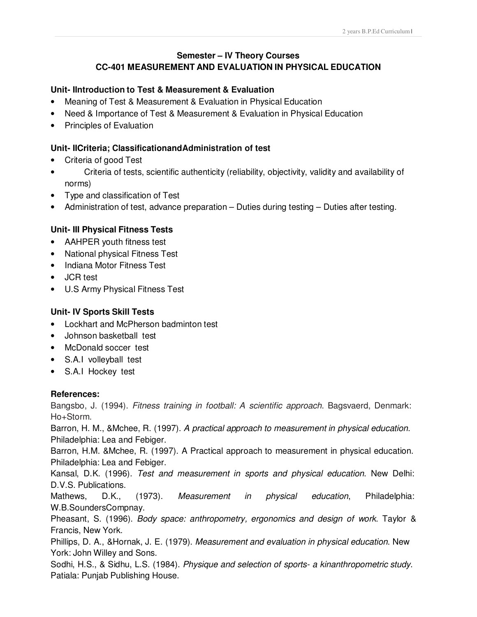## **Semester – IV Theory Courses CC-401 MEASUREMENT AND EVALUATION IN PHYSICAL EDUCATION**

## **Unit- IIntroduction to Test & Measurement & Evaluation**

- Meaning of Test & Measurement & Evaluation in Physical Education
- Need & Importance of Test & Measurement & Evaluation in Physical Education
- Principles of Evaluation

## **Unit- IICriteria; ClassificationandAdministration of test**

- Criteria of good Test
- Criteria of tests, scientific authenticity (reliability, objectivity, validity and availability of norms)
- Type and classification of Test
- Administration of test, advance preparation Duties during testing Duties after testing.

## **Unit- III Physical Fitness Tests**

- AAHPER youth fitness test
- National physical Fitness Test
- Indiana Motor Fitness Test
- JCR test
- U.S Army Physical Fitness Test

## **Unit- IV Sports Skill Tests**

- Lockhart and McPherson badminton test
- Johnson basketball test
- McDonald soccer test
- S.A.I volleyball test
- S.A.I Hockey test

#### **References:**

Bangsbo, J. (1994). Fitness training in football: A scientific approach. Bagsvaerd, Denmark: Ho+Storm.

Barron, H. M., &Mchee, R. (1997). A practical approach to measurement in physical education. Philadelphia: Lea and Febiger.

Barron, H.M. &Mchee, R. (1997). A Practical approach to measurement in physical education. Philadelphia: Lea and Febiger.

Kansal, D.K. (1996). Test and measurement in sports and physical education. New Delhi: D.V.S. Publications.

Mathews, D.K., (1973). Measurement in physical education, Philadelphia: W.B.SoundersCompnay.

Pheasant, S. (1996). Body space: anthropometry, ergonomics and design of work. Taylor & Francis, New York.

Phillips, D. A., & Hornak, J. E. (1979). Measurement and evaluation in physical education. New York: John Willey and Sons.

Sodhi, H.S., & Sidhu, L.S. (1984). Physique and selection of sports- a kinanthropometric study. Patiala: Punjab Publishing House.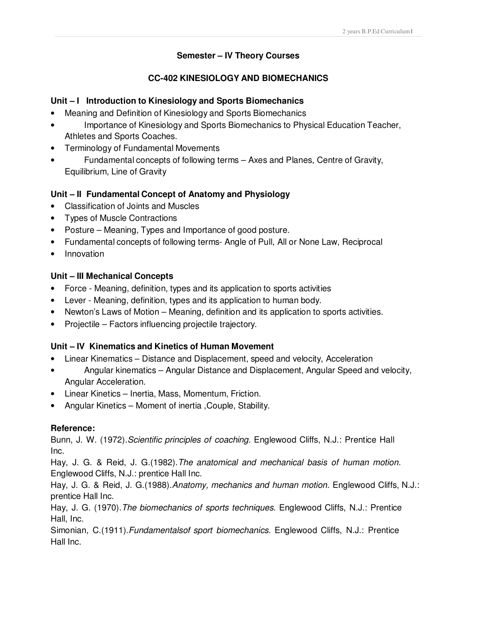## **Semester – IV Theory Courses**

## **CC-402 KINESIOLOGY AND BIOMECHANICS**

## **Unit – I Introduction to Kinesiology and Sports Biomechanics**

- Meaning and Definition of Kinesiology and Sports Biomechanics
- Importance of Kinesiology and Sports Biomechanics to Physical Education Teacher, Athletes and Sports Coaches.
- Terminology of Fundamental Movements
- Fundamental concepts of following terms Axes and Planes, Centre of Gravity, Equilibrium, Line of Gravity

## **Unit – II Fundamental Concept of Anatomy and Physiology**

- Classification of Joints and Muscles
- Types of Muscle Contractions
- Posture Meaning, Types and Importance of good posture.
- Fundamental concepts of following terms- Angle of Pull, All or None Law, Reciprocal
- Innovation

## **Unit – III Mechanical Concepts**

- Force Meaning, definition, types and its application to sports activities
- Lever Meaning, definition, types and its application to human body.
- Newton's Laws of Motion Meaning, definition and its application to sports activities.
- Projectile Factors influencing projectile trajectory.

## **Unit – IV Kinematics and Kinetics of Human Movement**

- Linear Kinematics Distance and Displacement, speed and velocity, Acceleration
- Angular kinematics Angular Distance and Displacement, Angular Speed and velocity, Angular Acceleration.
- Linear Kinetics Inertia, Mass, Momentum, Friction.
- Angular Kinetics Moment of inertia ,Couple, Stability.

## **Reference:**

Bunn, J. W. (1972). Scientific principles of coaching. Englewood Cliffs, N.J.: Prentice Hall Inc.

Hay, J. G. & Reid, J. G.(1982).The anatomical and mechanical basis of human motion. Englewood Cliffs, N.J.: prentice Hall Inc.

Hay, J. G. & Reid, J. G. (1988). Anatomy, mechanics and human motion. Englewood Cliffs, N.J.: prentice Hall Inc.

Hay, J. G. (1970). The biomechanics of sports techniques. Englewood Cliffs, N.J.: Prentice Hall, Inc.

Simonian, C.(1911). Fundamentalsof sport biomechanics. Englewood Cliffs, N.J.: Prentice Hall Inc.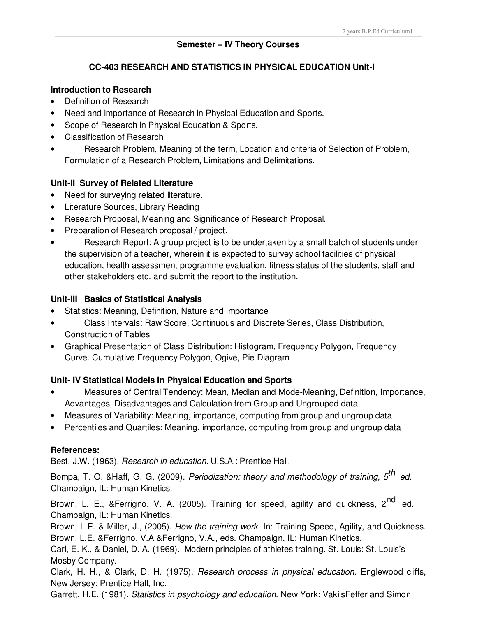#### **Semester – IV Theory Courses**

## **CC-403 RESEARCH AND STATISTICS IN PHYSICAL EDUCATION Unit-I**

### **Introduction to Research**

- Definition of Research
- Need and importance of Research in Physical Education and Sports.
- Scope of Research in Physical Education & Sports.
- Classification of Research
- Research Problem, Meaning of the term, Location and criteria of Selection of Problem, Formulation of a Research Problem, Limitations and Delimitations.

## **Unit-II Survey of Related Literature**

- Need for surveying related literature.
- Literature Sources, Library Reading
- Research Proposal, Meaning and Significance of Research Proposal.
- Preparation of Research proposal / project.
- Research Report: A group project is to be undertaken by a small batch of students under the supervision of a teacher, wherein it is expected to survey school facilities of physical education, health assessment programme evaluation, fitness status of the students, staff and other stakeholders etc. and submit the report to the institution.

## **Unit-III Basics of Statistical Analysis**

- Statistics: Meaning, Definition, Nature and Importance
- Class Intervals: Raw Score, Continuous and Discrete Series, Class Distribution, Construction of Tables
- Graphical Presentation of Class Distribution: Histogram, Frequency Polygon, Frequency Curve. Cumulative Frequency Polygon, Ogive, Pie Diagram

## **Unit- IV Statistical Models in Physical Education and Sports**

- Measures of Central Tendency: Mean, Median and Mode-Meaning, Definition, Importance, Advantages, Disadvantages and Calculation from Group and Ungrouped data
- Measures of Variability: Meaning, importance, computing from group and ungroup data
- Percentiles and Quartiles: Meaning, importance, computing from group and ungroup data

## **References:**

Best, J.W. (1963). Research in education. U.S.A.: Prentice Hall.

Bompa, T. O. &Haff, G. G. (2009). *Periodization: theory and methodology of training, 5<sup>th</sup> ed.* Champaign, IL: Human Kinetics.

Brown, L. E., &Ferrigno, V. A. (2005). Training for speed, agility and quickness, 2<sup>nd</sup> ed. Champaign, IL: Human Kinetics.

Brown, L.E. & Miller, J., (2005). How the training work. In: Training Speed, Agility, and Quickness. Brown, L.E. &Ferrigno, V.A &Ferrigno, V.A., eds. Champaign, IL: Human Kinetics.

Carl, E. K., & Daniel, D. A. (1969). Modern principles of athletes training. St. Louis: St. Louis's Mosby Company.

Clark, H. H., & Clark, D. H. (1975). Research process in physical education. Englewood cliffs, New Jersey: Prentice Hall, Inc.

Garrett, H.E. (1981). *Statistics in psychology and education*. New York: VakilsFeffer and Simon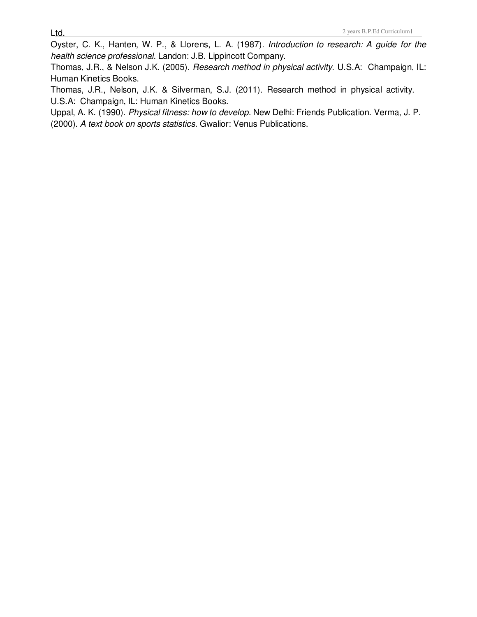Oyster, C. K., Hanten, W. P., & Llorens, L. A. (1987). Introduction to research: A guide for the health science professional. Landon: J.B. Lippincott Company.

Thomas, J.R., & Nelson J.K. (2005). Research method in physical activity. U.S.A: Champaign, IL: Human Kinetics Books.

Thomas, J.R., Nelson, J.K. & Silverman, S.J. (2011). Research method in physical activity. U.S.A: Champaign, IL: Human Kinetics Books.

Uppal, A. K. (1990). Physical fitness: how to develop. New Delhi: Friends Publication. Verma, J. P. (2000). A text book on sports statistics. Gwalior: Venus Publications.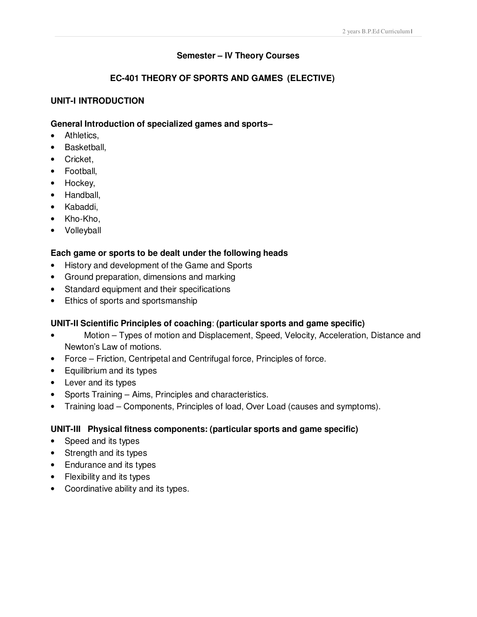## **Semester – IV Theory Courses**

# **EC-401 THEORY OF SPORTS AND GAMES (ELECTIVE)**

## **UNIT-I INTRODUCTION**

#### **General Introduction of specialized games and sports–**

- Athletics,
- Basketball,
- Cricket,
- Football,
- Hockey,
- Handball,
- Kabaddi,
- Kho-Kho,
- Volleyball

#### **Each game or sports to be dealt under the following heads**

- History and development of the Game and Sports
- Ground preparation, dimensions and marking
- Standard equipment and their specifications
- Ethics of sports and sportsmanship

## **UNIT-II Scientific Principles of coaching**: **(particular sports and game specific)**

- Motion Types of motion and Displacement, Speed, Velocity, Acceleration, Distance and Newton's Law of motions.
- Force Friction, Centripetal and Centrifugal force, Principles of force.
- Equilibrium and its types
- Lever and its types
- Sports Training Aims, Principles and characteristics.
- Training load Components, Principles of load, Over Load (causes and symptoms).

## **UNIT-III Physical fitness components: (particular sports and game specific)**

- Speed and its types
- Strength and its types
- Endurance and its types
- Flexibility and its types
- Coordinative ability and its types.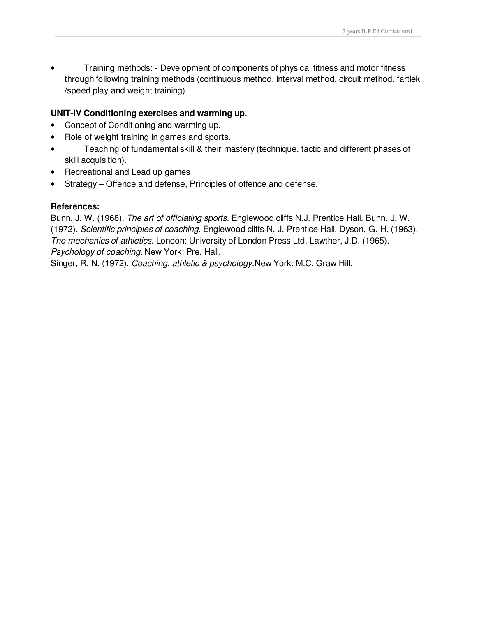• Training methods: - Development of components of physical fitness and motor fitness through following training methods (continuous method, interval method, circuit method, fartlek /speed play and weight training)

## **UNIT-IV Conditioning exercises and warming up**.

- Concept of Conditioning and warming up.
- Role of weight training in games and sports.
- Teaching of fundamental skill & their mastery (technique, tactic and different phases of skill acquisition).
- Recreational and Lead up games
- Strategy Offence and defense, Principles of offence and defense.

## **References:**

Bunn, J. W. (1968). The art of officiating sports. Englewood cliffs N.J. Prentice Hall. Bunn, J. W. (1972). Scientific principles of coaching. Englewood cliffs N. J. Prentice Hall. Dyson, G. H. (1963). The mechanics of athletics. London: University of London Press Ltd. Lawther, J.D. (1965). Psychology of coaching. New York: Pre. Hall.

Singer, R. N. (1972). Coaching, athletic & psychology.New York: M.C. Graw Hill.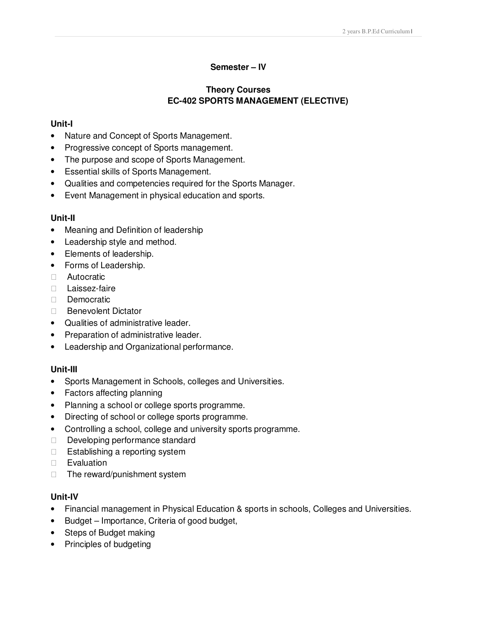#### **Semester – IV**

# **Theory Courses EC-402 SPORTS MANAGEMENT (ELECTIVE)**

#### **Unit-I**

- Nature and Concept of Sports Management.
- Progressive concept of Sports management.
- The purpose and scope of Sports Management.
- Essential skills of Sports Management.
- Qualities and competencies required for the Sports Manager.
- Event Management in physical education and sports.

#### **Unit-II**

- Meaning and Definition of leadership
- Leadership style and method.
- Elements of leadership.
- Forms of Leadership. Autocratic Laissez-faire **Democratic** Benevolent Dictator
- Qualities of administrative leader.
- Preparation of administrative leader.
- Leadership and Organizational performance.

#### **Unit-III**

- Sports Management in Schools, colleges and Universities.
- Factors affecting planning
- Planning a school or college sports programme.
- Directing of school or college sports programme.
- Controlling a school, college and university sports programme. Developing performance standard Establishing a reporting system **Evaluation** The reward/punishment system

#### **Unit-IV**

- Financial management in Physical Education & sports in schools, Colleges and Universities.
- Budget Importance, Criteria of good budget,
- Steps of Budget making
- Principles of budgeting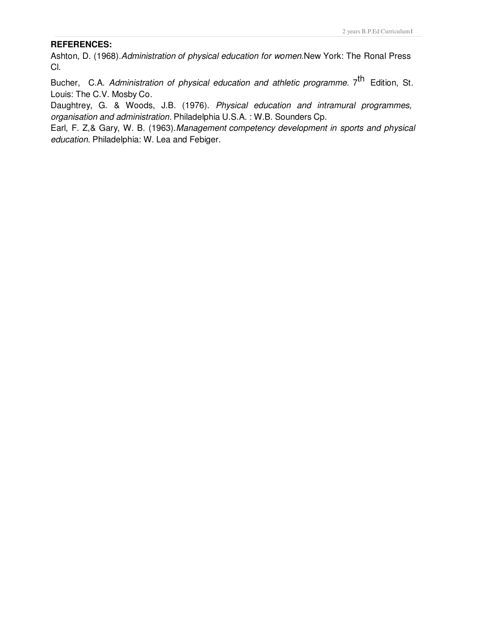#### **REFERENCES:**

Ashton, D. (1968). Administration of physical education for women. New York: The Ronal Press Cl.

Bucher, C.A. Administration of physical education and athletic programme. 7<sup>th</sup> Edition, St. Louis: The C.V. Mosby Co.

Daughtrey, G. & Woods, J.B. (1976). Physical education and intramural programmes, organisation and administration. Philadelphia U.S.A. : W.B. Sounders Cp.

Earl, F. Z,& Gary, W. B. (1963).Management competency development in sports and physical education. Philadelphia: W. Lea and Febiger.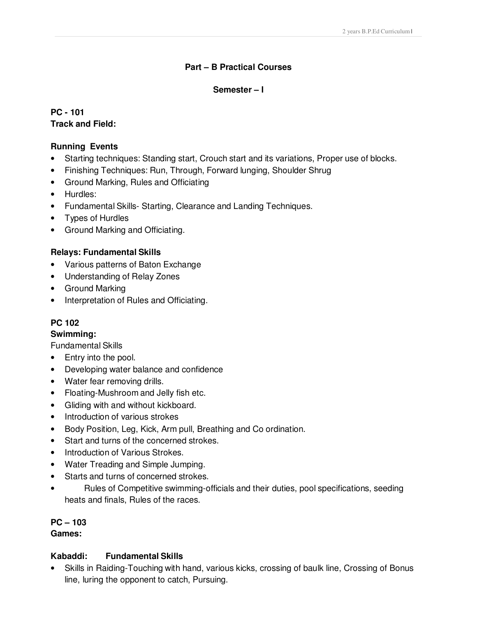# **Part – B Practical Courses**

# **Semester – I**

**PC - 101 Track and Field:**

## **Running Events**

- Starting techniques: Standing start, Crouch start and its variations, Proper use of blocks.
- Finishing Techniques: Run, Through, Forward lunging, Shoulder Shrug
- Ground Marking, Rules and Officiating
- Hurdles:
- Fundamental Skills- Starting, Clearance and Landing Techniques.
- Types of Hurdles
- Ground Marking and Officiating.

# **Relays: Fundamental Skills**

- Various patterns of Baton Exchange
- Understanding of Relay Zones
- Ground Marking
- Interpretation of Rules and Officiating.

# **PC 102**

## **Swimming:**

Fundamental Skills

- Entry into the pool.
- Developing water balance and confidence
- Water fear removing drills.
- Floating-Mushroom and Jelly fish etc.
- Gliding with and without kickboard.
- Introduction of various strokes
- Body Position, Leg, Kick, Arm pull, Breathing and Co ordination.
- Start and turns of the concerned strokes.
- Introduction of Various Strokes.
- Water Treading and Simple Jumping.
- Starts and turns of concerned strokes.
- Rules of Competitive swimming-officials and their duties, pool specifications, seeding heats and finals, Rules of the races.

# **PC – 103**

## **Games:**

## **Kabaddi: Fundamental Skills**

• Skills in Raiding-Touching with hand, various kicks, crossing of baulk line, Crossing of Bonus line, luring the opponent to catch, Pursuing.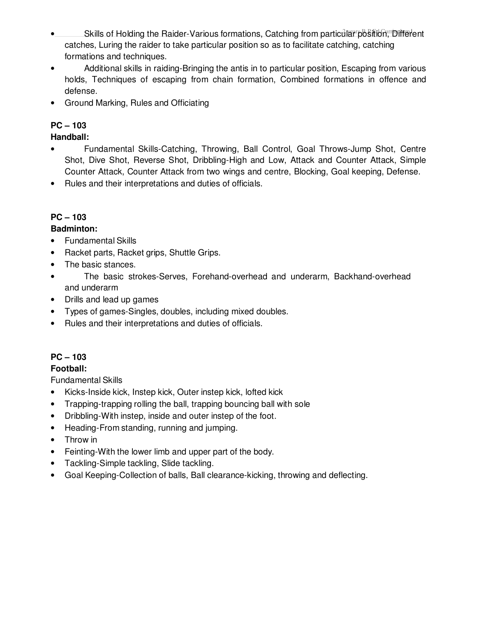- **Skills of Holding the Raider-Various formations, Catching from particular position, Different** catches, Luring the raider to take particular position so as to facilitate catching, catching formations and techniques.
- Additional skills in raiding-Bringing the antis in to particular position, Escaping from various holds, Techniques of escaping from chain formation, Combined formations in offence and defense.
- Ground Marking, Rules and Officiating

# **PC – 103**

**Handball:** 

- Fundamental Skills-Catching, Throwing, Ball Control, Goal Throws-Jump Shot, Centre Shot, Dive Shot, Reverse Shot, Dribbling-High and Low, Attack and Counter Attack, Simple Counter Attack, Counter Attack from two wings and centre, Blocking, Goal keeping, Defense.
- Rules and their interpretations and duties of officials.

# **PC – 103**

# **Badminton:**

- Fundamental Skills
- Racket parts, Racket grips, Shuttle Grips.
- The basic stances.
- The basic strokes-Serves, Forehand-overhead and underarm, Backhand-overhead and underarm
- Drills and lead up games
- Types of games-Singles, doubles, including mixed doubles.
- Rules and their interpretations and duties of officials.

# **PC – 103**

# **Football:**

Fundamental Skills

- Kicks-Inside kick, Instep kick, Outer instep kick, lofted kick
- Trapping-trapping rolling the ball, trapping bouncing ball with sole
- Dribbling-With instep, inside and outer instep of the foot.
- Heading-From standing, running and jumping.
- Throw in
- Feinting-With the lower limb and upper part of the body.
- Tackling-Simple tackling, Slide tackling.
- Goal Keeping-Collection of balls, Ball clearance-kicking, throwing and deflecting.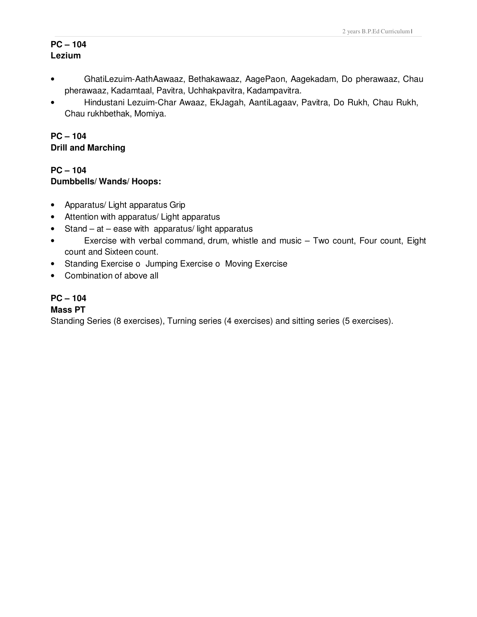# **PC – 104 Lezium**

- GhatiLezuim-AathAawaaz, Bethakawaaz, AagePaon, Aagekadam, Do pherawaaz, Chau pherawaaz, Kadamtaal, Pavitra, Uchhakpavitra, Kadampavitra.
- Hindustani Lezuim-Char Awaaz, EkJagah, AantiLagaav, Pavitra, Do Rukh, Chau Rukh, Chau rukhbethak, Momiya.

# **PC – 104 Drill and Marching**

# **PC – 104 Dumbbells/ Wands/ Hoops:**

- Apparatus/ Light apparatus Grip
- Attention with apparatus/ Light apparatus
- Stand at ease with apparatus/ light apparatus
- Exercise with verbal command, drum, whistle and music Two count, Four count, Eight count and Sixteen count.
- Standing Exercise o Jumping Exercise o Moving Exercise
- Combination of above all

# **PC – 104**

## **Mass PT**

Standing Series (8 exercises), Turning series (4 exercises) and sitting series (5 exercises).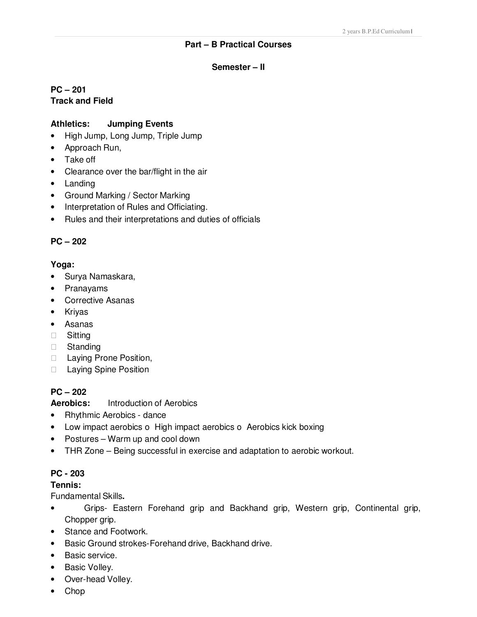#### **Part – B Practical Courses**

#### **Semester – II**

### **PC – 201 Track and Field**

#### **Athletics: Jumping Events**

- High Jump, Long Jump, Triple Jump
- Approach Run,
- Take off
- Clearance over the bar/flight in the air
- Landing
- Ground Marking / Sector Marking
- Interpretation of Rules and Officiating.
- Rules and their interpretations and duties of officials

#### **PC – 202**

#### **Yoga:**

- Surya Namaskara,
- Pranayams
- Corrective Asanas
- Kriyas
- Asanas **Sitting**  Standing Laying Prone Position, Laying Spine Position

#### **PC – 202**

**Aerobics:** Introduction of Aerobics

- Rhythmic Aerobics dance
- Low impact aerobics o High impact aerobics o Aerobics kick boxing
- Postures Warm up and cool down
- THR Zone Being successful in exercise and adaptation to aerobic workout.

#### **PC - 203**

#### **Tennis:**

Fundamental Skills**.**

- Grips- Eastern Forehand grip and Backhand grip, Western grip, Continental grip, Chopper grip.
- Stance and Footwork.
- Basic Ground strokes-Forehand drive, Backhand drive.
- Basic service.
- Basic Volley.
- Over-head Volley.
- Chop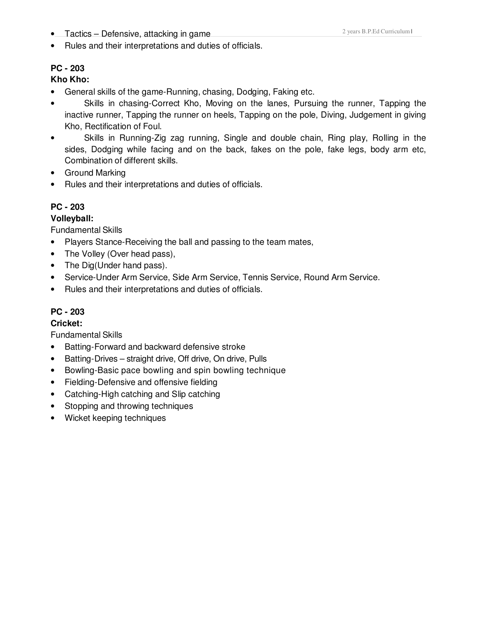**•** Tactics – Defensive, attacking in game

• Rules and their interpretations and duties of officials.

# **PC - 203**

# **Kho Kho:**

- General skills of the game-Running, chasing, Dodging, Faking etc.
- Skills in chasing-Correct Kho, Moving on the lanes, Pursuing the runner, Tapping the inactive runner, Tapping the runner on heels, Tapping on the pole, Diving, Judgement in giving Kho, Rectification of Foul.
- Skills in Running-Zig zag running, Single and double chain, Ring play, Rolling in the sides, Dodging while facing and on the back, fakes on the pole, fake legs, body arm etc, Combination of different skills.
- Ground Marking
- Rules and their interpretations and duties of officials.

# **PC - 203**

## **Volleyball:**

Fundamental Skills

- Players Stance-Receiving the ball and passing to the team mates,
- The Volley (Over head pass),
- The Dig(Under hand pass).
- Service-Under Arm Service, Side Arm Service, Tennis Service, Round Arm Service.
- Rules and their interpretations and duties of officials.

# **PC - 203**

## **Cricket:**

Fundamental Skills

- Batting-Forward and backward defensive stroke
- Batting-Drives straight drive, Off drive, On drive, Pulls
- Bowling-Basic pace bowling and spin bowling technique
- Fielding-Defensive and offensive fielding
- Catching-High catching and Slip catching
- Stopping and throwing techniques
- Wicket keeping techniques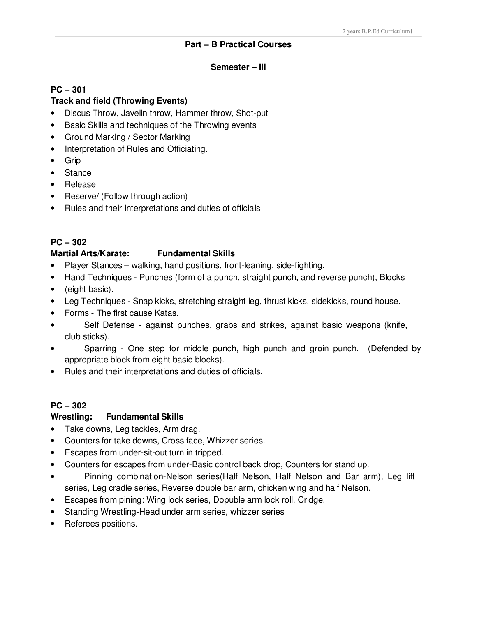#### **Part – B Practical Courses**

#### **Semester – III**

#### **PC – 301**

#### **Track and field (Throwing Events)**

- Discus Throw, Javelin throw, Hammer throw, Shot-put
- Basic Skills and techniques of the Throwing events
- Ground Marking / Sector Marking
- Interpretation of Rules and Officiating.
- Grip
- Stance
- Release
- Reserve/ (Follow through action)
- Rules and their interpretations and duties of officials

## **PC – 302**

#### **Martial Arts/Karate: Fundamental Skills**

- Player Stances walking, hand positions, front-leaning, side-fighting.
- Hand Techniques Punches (form of a punch, straight punch, and reverse punch), Blocks
- (eight basic).
- Leg Techniques Snap kicks, stretching straight leg, thrust kicks, sidekicks, round house.
- Forms The first cause Katas.
- Self Defense against punches, grabs and strikes, against basic weapons (knife, club sticks).
- Sparring One step for middle punch, high punch and groin punch. (Defended by appropriate block from eight basic blocks).
- Rules and their interpretations and duties of officials.

#### **PC – 302**

#### **Wrestling: Fundamental Skills**

- Take downs, Leg tackles, Arm drag.
- Counters for take downs, Cross face, Whizzer series.
- Escapes from under-sit-out turn in tripped.
- Counters for escapes from under-Basic control back drop, Counters for stand up.
- Pinning combination-Nelson series(Half Nelson, Half Nelson and Bar arm), Leg lift series, Leg cradle series, Reverse double bar arm, chicken wing and half Nelson.
- Escapes from pining: Wing lock series, Dopuble arm lock roll, Cridge.
- Standing Wrestling-Head under arm series, whizzer series
- Referees positions.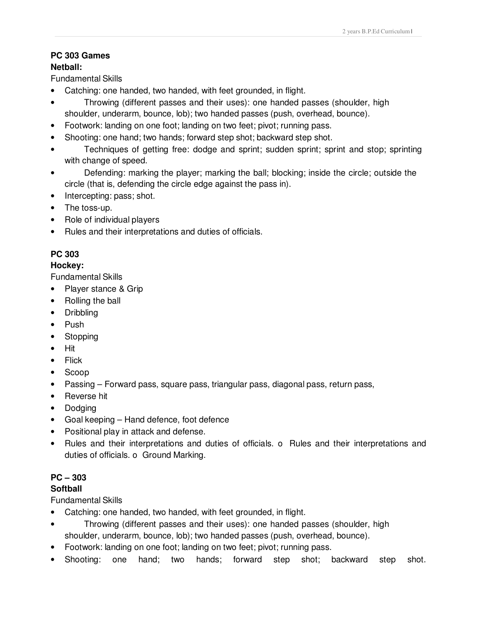#### **PC 303 Games Netball:**

Fundamental Skills

- Catching: one handed, two handed, with feet grounded, in flight.
- Throwing (different passes and their uses): one handed passes (shoulder, high shoulder, underarm, bounce, lob); two handed passes (push, overhead, bounce).
- Footwork: landing on one foot; landing on two feet; pivot; running pass.
- Shooting: one hand; two hands; forward step shot; backward step shot.
- Techniques of getting free: dodge and sprint; sudden sprint; sprint and stop; sprinting with change of speed.
- Defending: marking the player; marking the ball; blocking; inside the circle; outside the circle (that is, defending the circle edge against the pass in).
- Intercepting: pass; shot.
- The toss-up.
- Role of individual players
- Rules and their interpretations and duties of officials.

# **PC 303**

# **Hockey:**

Fundamental Skills

- Player stance & Grip
- Rolling the ball
- Dribbling
- Push
- Stopping
- Hit
- Flick
- Scoop
- Passing Forward pass, square pass, triangular pass, diagonal pass, return pass,
- Reverse hit
- Dodging
- Goal keeping Hand defence, foot defence
- Positional play in attack and defense.
- Rules and their interpretations and duties of officials. o Rules and their interpretations and duties of officials. o Ground Marking.

# **PC – 303**

# **Softball**

Fundamental Skills

- Catching: one handed, two handed, with feet grounded, in flight.
- Throwing (different passes and their uses): one handed passes (shoulder, high shoulder, underarm, bounce, lob); two handed passes (push, overhead, bounce).
- Footwork: landing on one foot; landing on two feet; pivot; running pass.
- Shooting: one hand; two hands; forward step shot; backward step shot.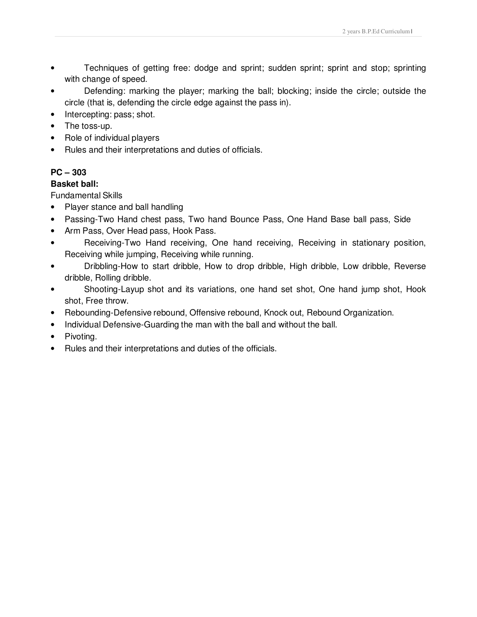- Techniques of getting free: dodge and sprint; sudden sprint; sprint and stop; sprinting with change of speed.
- Defending: marking the player; marking the ball; blocking; inside the circle; outside the circle (that is, defending the circle edge against the pass in).
- Intercepting: pass; shot.
- The toss-up.
- Role of individual players
- Rules and their interpretations and duties of officials.

# **PC – 303**

## **Basket ball:**

Fundamental Skills

- Player stance and ball handling
- Passing-Two Hand chest pass, Two hand Bounce Pass, One Hand Base ball pass, Side
- Arm Pass, Over Head pass, Hook Pass.
- Receiving-Two Hand receiving, One hand receiving, Receiving in stationary position, Receiving while jumping, Receiving while running.
- Dribbling-How to start dribble, How to drop dribble, High dribble, Low dribble, Reverse dribble, Rolling dribble.
- Shooting-Layup shot and its variations, one hand set shot, One hand jump shot, Hook shot, Free throw.
- Rebounding-Defensive rebound, Offensive rebound, Knock out, Rebound Organization.
- Individual Defensive-Guarding the man with the ball and without the ball.
- Pivoting.
- Rules and their interpretations and duties of the officials.